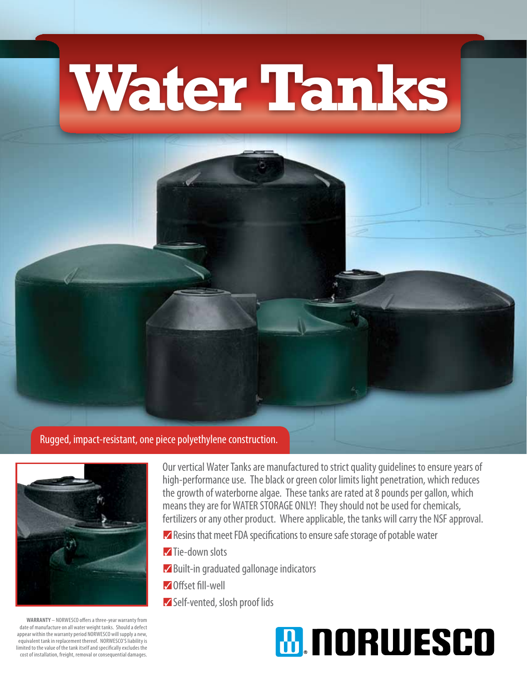## **Water Tanks**

## Rugged, impact-resistant, one piece polyethylene construction.



Our vertical Water Tanks are manufactured to strict quality guidelines to ensure years of high-performance use. The black or green color limits light penetration, which reduces the growth of waterborne algae. These tanks are rated at 8 pounds per gallon, which means they are for WATER STORAGE ONLY! They should not be used for chemicals, fertilizers or any other product. Where applicable, the tanks will carry the NSF approval.

- $✓$  Resins that meet FDA specifications to ensure safe storage of potable water
- **Tie-down slots**
- **Z** Built-in graduated gallonage indicators
- **Z**Offset fill-well
- Self-vented, slosh proof lids

## **M. NORWESCO**

**WARRANTY** – NORWESCO offers a three-year warranty from date of manufacture on all water weight tanks. Should a defect appear within the warranty period NORWESCO will supply a new, equivalent tank in replacement thereof. NORWESCO'S liability is limited to the value of the tank itself and specifically excludes the cost of installation, freight, removal or consequential damages.